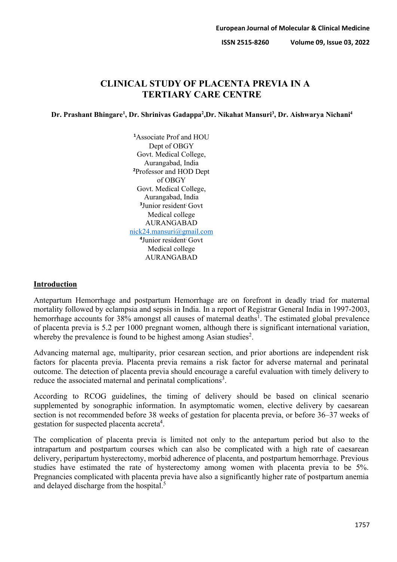# **CLINICAL STUDY OF PLACENTA PREVIA IN A TERTIARY CARE CENTRE**

## **Dr. Prashant Bhingare1 , Dr. Shrinivas Gadappa2 ,Dr. Nikahat Mansuri3 , Dr. Aishwarya Nichani4**

**1** Associate Prof and HOU Dept of OBGY Govt. Medical College, Aurangabad, India **2** Professor and HOD Dept of OBGY Govt. Medical College, Aurangabad, India **3** Junior resident; Govt Medical college AURANGABAD [nick24.mansuri@gmail.com](mailto:nick24.mansuri@gmail.com) **4** Junior resident; Govt Medical college AURANGABAD

## **Introduction**

Antepartum Hemorrhage and postpartum Hemorrhage are on forefront in deadly triad for maternal mortality followed by eclampsia and sepsis in India. In a report of Registrar General India in 1997-2003, hemorrhage accounts for 38% amongst all causes of maternal deaths<sup>1</sup>. The estimated global prevalence of placenta previa is 5.2 per 1000 pregnant women, although there is significant international variation, whereby the prevalence is found to be highest among Asian studies<sup>2</sup>.

Advancing maternal age, multiparity, prior cesarean section, and prior abortions are independent risk factors for placenta previa. Placenta previa remains a risk factor for adverse maternal and perinatal outcome. The detection of placenta previa should encourage a careful evaluation with timely delivery to reduce the associated maternal and perinatal complications<sup>3</sup>.

According to RCOG guidelines, the timing of delivery should be based on clinical scenario supplemented by sonographic information. In asymptomatic women, elective delivery by caesarean section is not recommended before 38 weeks of gestation for placenta previa, or before 36–37 weeks of gestation for suspected placenta accreta<sup>4</sup>.

The complication of placenta previa is limited not only to the antepartum period but also to the intrapartum and postpartum courses which can also be complicated with a high rate of caesarean delivery, peripartum hysterectomy, morbid adherence of placenta, and postpartum hemorrhage. Previous studies have estimated the rate of hysterectomy among women with placenta previa to be 5%. Pregnancies complicated with placenta previa have also a significantly higher rate of postpartum anemia and delayed discharge from the hospital.<sup>5</sup>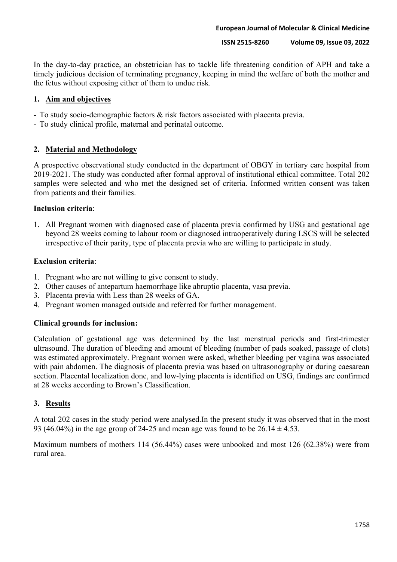In the day-to-day practice, an obstetrician has to tackle life threatening condition of APH and take a timely judicious decision of terminating pregnancy, keeping in mind the welfare of both the mother and the fetus without exposing either of them to undue risk.

## **1. Aim and objectives**

- To study socio-demographic factors & risk factors associated with placenta previa.
- To study clinical profile, maternal and perinatal outcome.

## **2. Material and Methodology**

A prospective observational study conducted in the department of OBGY in tertiary care hospital from 2019-2021. The study was conducted after formal approval of institutional ethical committee. Total 202 samples were selected and who met the designed set of criteria. Informed written consent was taken from patients and their families.

## **Inclusion criteria**:

1. All Pregnant women with diagnosed case of placenta previa confirmed by USG and gestational age beyond 28 weeks coming to labour room or diagnosed intraoperatively during LSCS will be selected irrespective of their parity, type of placenta previa who are willing to participate in study.

### **Exclusion criteria**:

- 1. Pregnant who are not willing to give consent to study.
- 2. Other causes of antepartum haemorrhage like abruptio placenta, vasa previa.
- 3. Placenta previa with Less than 28 weeks of GA.
- 4. Pregnant women managed outside and referred for further management.

## **Clinical grounds for inclusion:**

Calculation of gestational age was determined by the last menstrual periods and first-trimester ultrasound. The duration of bleeding and amount of bleeding (number of pads soaked, passage of clots) was estimated approximately. Pregnant women were asked, whether bleeding per vagina was associated with pain abdomen. The diagnosis of placenta previa was based on ultrasonography or during caesarean section. Placental localization done, and low-lying placenta is identified on USG, findings are confirmed at 28 weeks according to Brown's Classification.

### **3. Results**

A total 202 cases in the study period were analysed.In the present study it was observed that in the most 93 (46.04%) in the age group of 24-25 and mean age was found to be  $26.14 \pm 4.53$ .

Maximum numbers of mothers 114 (56.44%) cases were unbooked and most 126 (62.38%) were from rural area.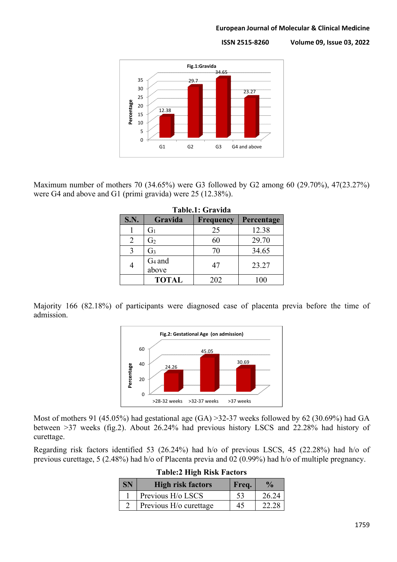#### **European Journal of Molecular & Clinical Medicine**

**ISSN 2515-8260 Volume 09, Issue 03, 2022**



Maximum number of mothers 70 (34.65%) were G3 followed by G2 among 60 (29.70%), 47(23.27%) were G4 and above and G1 (primi gravida) were 25 (12.38%).

| Table.1: Gravida |                    |                  |            |  |  |
|------------------|--------------------|------------------|------------|--|--|
| <b>S.N.</b>      | Gravida            | <b>Frequency</b> | Percentage |  |  |
|                  | $G_1$              | 25               | 12.38      |  |  |
| $\mathfrak{D}$   | G <sub>2</sub>     | 60               | 29.70      |  |  |
| 3                | G <sub>3</sub>     | 70               | 34.65      |  |  |
|                  | $G_4$ and<br>above | 47               | 23.27      |  |  |
|                  | <b>TOTAL</b>       | 202              | 100        |  |  |

**Table.1: Gravida**

Majority 166 (82.18%) of participants were diagnosed case of placenta previa before the time of admission.



Most of mothers 91 (45.05%) had gestational age (GA) >32-37 weeks followed by 62 (30.69%) had GA between >37 weeks (fig.2). About 26.24% had previous history LSCS and 22.28% had history of curettage.

Regarding risk factors identified 53 (26.24%) had h/o of previous LSCS, 45 (22.28%) had h/o of previous curettage, 5 (2.48%) had h/o of Placenta previa and 02 (0.99%) had h/o of multiple pregnancy.

| SN | High risk factors      | Freq.          | $\frac{1}{2}$ |
|----|------------------------|----------------|---------------|
|    | Previous H/o LSCS      |                | 26.24         |
|    | Previous H/o curettage | $\overline{4}$ |               |

| <b>Table:2 High Risk Factors</b> |  |  |
|----------------------------------|--|--|
|                                  |  |  |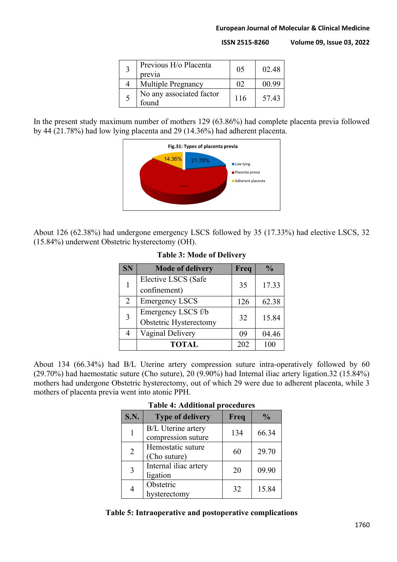#### **European Journal of Molecular & Clinical Medicine**

**ISSN 2515-8260 Volume 09, Issue 03, 2022**

| Previous H/o Placenta<br>previa   | 05       | 02.48 |
|-----------------------------------|----------|-------|
| <b>Multiple Pregnancy</b>         | $\Omega$ | 00.99 |
| No any associated factor<br>found | 116      | 57.43 |

In the present study maximum number of mothers 129 (63.86%) had complete placenta previa followed by 44 (21.78%) had low lying placenta and 29 (14.36%) had adherent placenta.



About 126 (62.38%) had undergone emergency LSCS followed by 35 (17.33%) had elective LSCS, 32 (15.84%) underwent Obstetric hysterectomy (OH).

|  | <b>SN</b> | <b>Mode of delivery</b> | Freq | $\frac{1}{2}$ |
|--|-----------|-------------------------|------|---------------|
|  |           | Elective LSCS (Safe     | 35   |               |
|  |           | confinement)            |      | 17.33         |
|  | 2         | <b>Emergency LSCS</b>   | 126  | 62.38         |
|  | 3         | Emergency LSCS f/b      | 32   |               |
|  |           | Obstetric Hysterectomy  |      | 15.84         |
|  |           | Vaginal Delivery        | 09   | 04.46         |
|  |           | <b>TOTAL</b>            | 202  |               |

## **Table 3: Mode of Delivery**

About 134 (66.34%) had B/L Uterine artery compression suture intra-operatively followed by 60 (29.70%) had haemostatic suture (Cho suture), 20 (9.90%) had Internal iliac artery ligation.32 (15.84%) mothers had undergone Obstetric hysterectomy, out of which 29 were due to adherent placenta, while 3 mothers of placenta previa went into atonic PPH.

| S.N.           | <b>Type of delivery</b>                         | Freq | $\frac{0}{0}$ |
|----------------|-------------------------------------------------|------|---------------|
|                | <b>B/L</b> Uterine artery<br>compression suture | 134  | 66.34         |
| $\overline{2}$ | Hemostatic suture<br>(Cho suture)               | 60   | 29.70         |
| 3              | Internal iliac artery<br>ligation               | 20   | 09.90         |
| 4              | Obstetric<br>hysterectomy                       | 32   | 15.84         |

#### **Table 4: Additional procedures**

### **Table 5: Intraoperative and postoperative complications**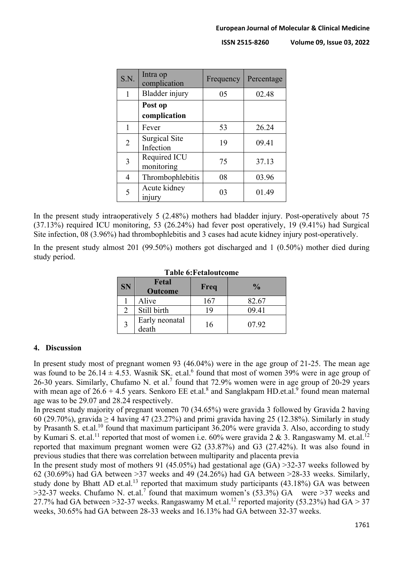| S.N.           | Intra op<br>complication          | Frequency | Percentage |
|----------------|-----------------------------------|-----------|------------|
| 1              | Bladder injury                    | 05        | 02.48      |
|                | Post op<br>complication           |           |            |
| 1              | Fever                             | 53        | 26.24      |
| $\overline{2}$ | <b>Surgical Site</b><br>Infection | 19        | 09.41      |
| 3              | Required ICU<br>monitoring        | 75        | 37.13      |
| 4              | Thrombophlebitis                  | 08        | 03.96      |
| 5              | Acute kidney<br>injury            | 03        | 01.49      |

In the present study intraoperatively 5 (2.48%) mothers had bladder injury. Post-operatively about 75 (37.13%) required ICU monitoring, 53 (26.24%) had fever post operatively, 19 (9.41%) had Surgical Site infection, 08 (3.96%) had thrombophlebitis and 3 cases had acute kidney injury post-operatively.

In the present study almost 201 (99.50%) mothers got discharged and 1 (0.50%) mother died during study period.

|           | 1 avit v.1 tualvattvillt |      |               |  |  |  |
|-----------|--------------------------|------|---------------|--|--|--|
| <b>SN</b> | Fetal<br><b>Outcome</b>  | Freq | $\frac{0}{0}$ |  |  |  |
|           | Alive                    | 167  | 82.67         |  |  |  |
|           | Still birth              | 19   | 09.41         |  |  |  |
| 3         | Early neonatal<br>death  | 16   | 07.92         |  |  |  |

### **Table 6:Fetaloutcome**

### **4. Discussion**

In present study most of pregnant women 93 (46.04%) were in the age group of 21-25. The mean age was found to be 26.14  $\pm$  4.53. Wasnik SK. et.al.<sup>6</sup> found that most of women 39% were in age group of 26-30 years. Similarly, Chufamo N. et al.<sup>7</sup> found that 72.9% women were in age group of 20-29 years with mean age of  $26.6 + 4.5$  years. Senkoro EE et.al.<sup>8</sup> and Sanglakpam HD.et.al.<sup>9</sup> found mean maternal age was to be 29.07 and 28.24 respectively.

In present study majority of pregnant women 70 (34.65%) were gravida 3 followed by Gravida 2 having 60 (29.70%), gravida  $\geq$  4 having 47 (23.27%) and primi gravida having 25 (12.38%). Similarly in study by Prasanth S. et.al.<sup>10</sup> found that maximum participant 36.20% were gravida 3. Also, according to study by Kumari S. et.al.<sup>11</sup> reported that most of women i.e. 60% were gravida 2 & 3. Rangaswamy M. et.al.<sup>12</sup> reported that maximum pregnant women were G2 (33.87%) and G3 (27.42%). It was also found in previous studies that there was correlation between multiparity and placenta previa

In the present study most of mothers 91 (45.05%) had gestational age  $(GA) > 32-37$  weeks followed by 62 (30.69%) had GA between >37 weeks and 49 (24.26%) had GA between >28-33 weeks. Similarly, study done by Bhatt AD et.al.<sup>13</sup> reported that maximum study participants  $(43.18\%)$  GA was between  $>$ 32-37 weeks. Chufamo N. et.al.<sup>7</sup> found that maximum women's (53.3%) GA were  $>$ 37 weeks and 27.7% had GA between >32-37 weeks. Rangaswamy M et.al.<sup>12</sup> reported majority (53.23%) had GA > 37 weeks, 30.65% had GA between 28-33 weeks and 16.13% had GA between 32-37 weeks.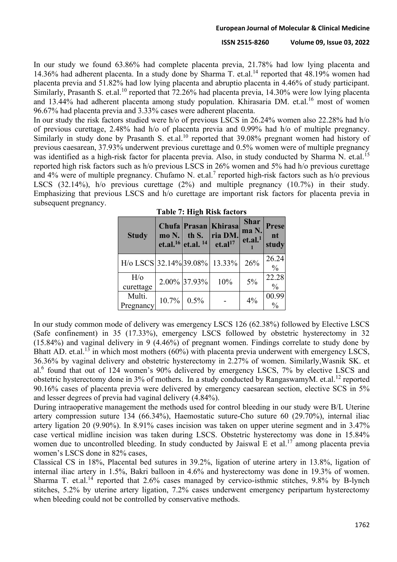In our study we found 63.86% had complete placenta previa, 21.78% had low lying placenta and 14.36% had adherent placenta. In a study done by Sharma T. et.al.<sup>14</sup> reported that 48.19% women had placenta previa and 51.82% had low lying placenta and abruptio placenta in 4.46% of study participant. Similarly, Prasanth S. et.al.<sup>10</sup> reported that 72.26% had placenta previa, 14.30% were low lying placenta and 13.44% had adherent placenta among study population. Khirasaria DM. et.al.<sup>16</sup> most of women 96.67% had placenta previa and 3.33% cases were adherent placenta.

In our study the risk factors studied were h/o of previous LSCS in 26.24% women also 22.28% had h/o of previous curettage, 2.48% had h/o of placenta previa and 0.99% had h/o of multiple pregnancy. Similarly in study done by Prasanth S. et.al.<sup>10</sup> reported that 39.08% pregnant women had history of previous caesarean, 37.93% underwent previous curettage and 0.5% women were of multiple pregnancy was identified as a high-risk factor for placenta previa. Also, in study conducted by Sharma N. et.al.<sup>15</sup> reported high risk factors such as h/o previous LSCS in 26% women and 5% had h/o previous curettage and 4% were of multiple pregnancy. Chufamo N. et.al.<sup>7</sup> reported high-risk factors such as h/o previous LSCS (32.14%), h/o previous curettage (2%) and multiple pregnancy (10.7%) in their study. Emphasizing that previous LSCS and h/o curettage are important risk factors for placenta previa in subsequent pregnancy.

| <b>Study</b>               | $\text{mo } N.$ | Chufa Prasan<br>th S.<br>et.al. <sup>16</sup> et.al. <sup>14</sup> | Khirasa<br>ria DM.<br>et. a <sup>17</sup> | <b>Shar</b><br>ma N.<br>et.al. <sup>1</sup> | Prese<br>nt<br>study   |
|----------------------------|-----------------|--------------------------------------------------------------------|-------------------------------------------|---------------------------------------------|------------------------|
| $H$ /o LSCS 32.14% 39.08%  |                 |                                                                    | 13.33%                                    | 26%                                         | 26.24<br>$\frac{0}{0}$ |
| $H$ / $\circ$<br>curettage |                 | 2.00% 37.93%                                                       | 10%                                       | 5%                                          | 22.28<br>$\frac{0}{0}$ |
| Multi.<br>Pregnancy        | 10.7%           | 0.5%                                                               |                                           | 4%                                          | 00.99<br>$\frac{0}{0}$ |

|  |  |  | Table 7: High Risk factors |
|--|--|--|----------------------------|
|--|--|--|----------------------------|

In our study common mode of delivery was emergency LSCS 126 (62.38%) followed by Elective LSCS (Safe confinement) in 35 (17.33%), emergency LSCS followed by obstetric hysterectomy in 32 (15.84%) and vaginal delivery in 9 (4.46%) of pregnant women. Findings correlate to study done by Bhatt AD. et.al.<sup>13</sup> in which most mothers (60%) with placenta previa underwent with emergency LSCS, 36.36% by vaginal delivery and obstetric hysterectomy in 2.27% of women. Similarly,Wasnik SK. et al.<sup>6</sup> found that out of 124 women's 90% delivered by emergency LSCS, 7% by elective LSCS and obstetric hysterectomy done in 3% of mothers. In a study conducted by RangaswamyM. et.al.<sup>12</sup> reported 90.16% cases of placenta previa were delivered by emergency caesarean section, elective SCS in 5% and lesser degrees of previa had vaginal delivery (4.84%).

During intraoperative management the methods used for control bleeding in our study were B/L Uterine artery compression suture 134 (66.34%), Haemostatic suture-Cho suture 60 (29.70%), internal iliac artery ligation 20 (9.90%). In 8.91% cases incision was taken on upper uterine segment and in 3.47% case vertical midline incision was taken during LSCS. Obstetric hysterectomy was done in 15.84% women due to uncontrolled bleeding. In study conducted by Jaiswal E et al.<sup>17</sup> among placenta previa women's LSCS done in 82% cases,

Classical CS in 18%, Placental bed sutures in 39.2%, ligation of uterine artery in 13.8%, ligation of internal iliac artery in 1.5%, Bakri balloon in 4.6% and hysterectomy was done in 19.3% of women. Sharma T. et.al.<sup>14</sup> reported that 2.6% cases managed by cervico-isthmic stitches, 9.8% by B-lynch stitches, 5.2% by uterine artery ligation, 7.2% cases underwent emergency peripartum hysterectomy when bleeding could not be controlled by conservative methods.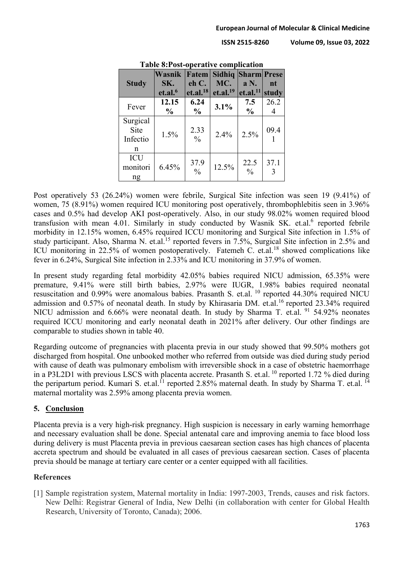|                                   | Wasnik              |                       | <b>Fatem Sidhiq Sharm Prese</b> |                       |           |
|-----------------------------------|---------------------|-----------------------|---------------------------------|-----------------------|-----------|
| <b>Study</b>                      | SK.                 | eh C.                 | MC.                             | $aN$ .                | nt        |
|                                   | et.al. <sup>6</sup> | $et. a L^{18}$        | et. al. <sup>19</sup>           | $et. al.11$ study     |           |
| Fever                             | 12.15               | 6.24                  | 3.1%                            | 7.5                   | 26.2      |
|                                   | $\frac{0}{0}$       | $\frac{6}{9}$         |                                 | $\frac{0}{0}$         |           |
| Surgical<br>Site<br>Infectio<br>n | 1.5%                | 2.33<br>$\frac{0}{0}$ | 2.4%                            | 2.5%                  | 09.4      |
| ICU<br>monitori<br>ng             | 6.45%               | 37.9<br>$\frac{0}{0}$ | 12.5%                           | 22.5<br>$\frac{0}{0}$ | 37.1<br>3 |

**Table 8:Post-operative complication**

Post operatively 53 (26.24%) women were febrile, Surgical Site infection was seen 19 (9.41%) of women, 75 (8.91%) women required ICU monitoring post operatively, thrombophlebitis seen in 3.96% cases and 0.5% had develop AKI post-operatively. Also, in our study 98.02% women required blood transfusion with mean 4.01. Similarly in study conducted by Wasnik SK. et.al.<sup>6</sup> reported febrile morbidity in 12.15% women, 6.45% required ICCU monitoring and Surgical Site infection in 1.5% of study participant. Also, Sharma N. et.al.<sup>15</sup> reported fevers in 7.5%, Surgical Site infection in 2.5% and ICU monitoring in 22.5% of women postoperatively. Fatemeh C. et.al.<sup>18</sup> showed complications like fever in 6.24%, Surgical Site infection in 2.33% and ICU monitoring in 37.9% of women.

In present study regarding fetal morbidity 42.05% babies required NICU admission, 65.35% were premature, 9.41% were still birth babies, 2.97% were IUGR, 1.98% babies required neonatal resuscitation and 0.99% were anomalous babies. Prasanth S. et.al. <sup>10</sup> reported 44.30% required NICU admission and 0.57% of neonatal death. In study by Khirasaria DM. et.al.<sup>16</sup> reported 23.34% required NICU admission and 6.66% were neonatal death. In study by Sharma T. et.al. <sup>91</sup> 54.92% neonates required ICCU monitoring and early neonatal death in 2021% after delivery. Our other findings are comparable to studies shown in table 40.

Regarding outcome of pregnancies with placenta previa in our study showed that 99.50% mothers got discharged from hospital. One unbooked mother who referred from outside was died during study period with cause of death was pulmonary embolism with irreversible shock in a case of obstetric haemorrhage in a P3L2D1 with previous LSCS with placenta accrete. Prasanth S. et.al. <sup>10</sup> reported 1.72 % died during the peripartum period. Kumari S. et.al.<sup>11</sup> reported 2.85% maternal death. In study by Sharma T. et.al.<sup>14</sup> maternal mortality was 2.59% among placenta previa women.

## **5. Conclusion**

Placenta previa is a very high-risk pregnancy. High suspicion is necessary in early warning hemorrhage and necessary evaluation shall be done. Special antenatal care and improving anemia to face blood loss during delivery is must Placenta previa in previous caesarean section cases has high chances of placenta accreta spectrum and should be evaluated in all cases of previous caesarean section. Cases of placenta previa should be manage at tertiary care center or a center equipped with all facilities.

# **References**

[1] Sample registration system, Maternal mortality in India: 1997-2003, Trends, causes and risk factors. New Delhi: Registrar General of India, New Delhi (in collaboration with center for Global Health Research, University of Toronto, Canada); 2006.